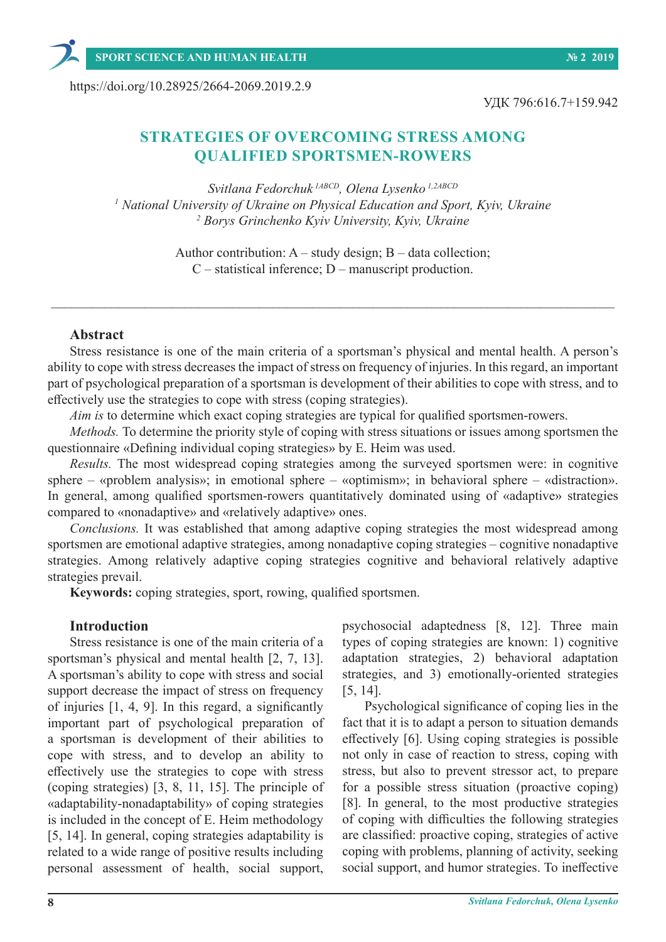https://doi.org/10.28925/2664-2069.2019.2.9

УДК 796:616.7+159.942

# **STRATEGIES OF OVERCOMING STRESS AMONG QUALIFIED SPORTSMEN-ROWERS**

*Svitlana Fedorchuk 1АBCD, Olena Lysenko 1,2АBCD 1 National University of Ukraine on Physical Education and Sport, Kyiv, Ukraine 2 Borys Grinchenko Kyiv University, Kyiv, Ukraine*

> Author contribution: A – study design; B – data collection; C – statistical inference; D – manuscript production.

#### **Abstract**

Stress resistance is one of the main criteria of a sportsman's physical and mental health. A person's ability to cope with stress decreases the impact of stress on frequency of injuries. In this regard, an important part of psychological preparation of a sportsman is development of their abilities to cope with stress, and to effectively use the strategies to cope with stress (coping strategies).

*Aim is* to determine which exact coping strategies are typical for qualified sportsmen-rowers.

*Methods.* To determine the priority style of coping with stress situations or issues among sportsmen the questionnaire «Defining individual coping strategies» by E. Heim was used.

*Results.* The most widespread coping strategies among the surveyed sportsmen were: in cognitive sphere – «problem analysis»; in emotional sphere – «optimism»; in behavioral sphere – «distraction». In general, among qualified sportsmen-rowers quantitatively dominated using of «adaptive» strategies compared to «nonadaptive» and «relatively adaptive» ones.

*Conclusions.* It was established that among adaptive coping strategies the most widespread among sportsmen are emotional adaptive strategies, among nonadaptive coping strategies – cognitive nonadaptive strategies. Among relatively adaptive coping strategies cognitive and behavioral relatively adaptive strategies prevail.

**Keywords:** coping strategies, sport, rowing, qualified sportsmen.

#### **Introduction**

Stress resistance is one of the main criteria of a sportsman's physical and mental health [2, 7, 13]. A sportsman's ability to cope with stress and social support decrease the impact of stress on frequency of injuries [1, 4, 9]. In this regard, a significantly important part of psychological preparation of a sportsman is development of their abilities to cope with stress, and to develop an ability to effectively use the strategies to cope with stress (coping strategies) [3, 8, 11, 15]. The principle of «adaptability-nonadaptability» of coping strategies is included in the concept of E. Heim methodology [5, 14]. In general, coping strategies adaptability is related to a wide range of positive results including personal assessment of health, social support,

psychosocial adaptedness [8, 12]. Three main types of coping strategies are known: 1) cognitive adaptation strategies, 2) behavioral adaptation strategies, and 3) emotionally-oriented strategies [5, 14].

Psychological significance of coping lies in the fact that it is to adapt a person to situation demands effectively [6]. Using coping strategies is possible not only in case of reaction to stress, coping with stress, but also to prevent stressor act, to prepare for a possible stress situation (proactive coping) [8]. In general, to the most productive strategies of coping with difficulties the following strategies are classified: proactive coping, strategies of active coping with problems, planning of activity, seeking social support, and humor strategies. To ineffective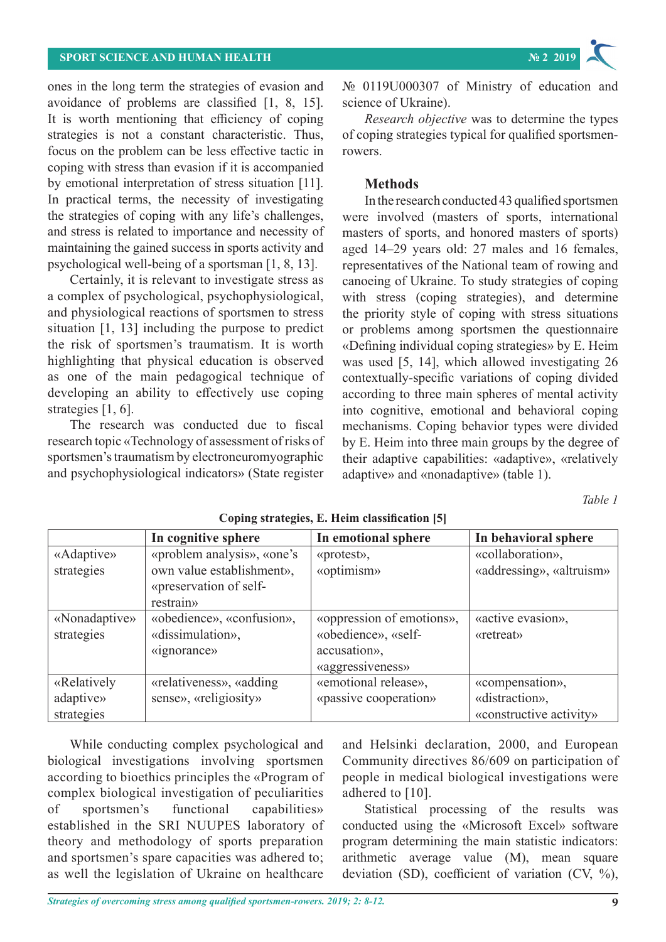ones in the long term the strategies of evasion and avoidance of problems are classified [1, 8, 15]. It is worth mentioning that efficiency of coping strategies is not a constant characteristic. Thus, focus on the problem can be less effective tactic in coping with stress than evasion if it is accompanied by emotional interpretation of stress situation [11]. In practical terms, the necessity of investigating the strategies of coping with any life's challenges, and stress is related to importance and necessity of maintaining the gained success in sports activity and psychological well-being of a sportsman [1, 8, 13].

Certainly, it is relevant to investigate stress as a complex of psychological, psychophysiological, and physiological reactions of sportsmen to stress situation [1, 13] including the purpose to predict the risk of sportsmen's traumatism. It is worth highlighting that physical education is observed as one of the main pedagogical technique of developing an ability to effectively use coping strategies [1, 6].

The research was conducted due to fiscal research topic «Technology of assessment of risks of sportsmen's traumatism by electroneuromyographic and psychophysiological indicators» (State register

№ 0119U000307 of Ministry of education and science of Ukraine).

*Research objective* was to determine the types of coping strategies typical for qualified sportsmenrowers.

# **Methods**

In the research conducted 43 qualified sportsmen were involved (masters of sports, international masters of sports, and honored masters of sports) aged 14–29 years old: 27 males and 16 females, representatives of the National team of rowing and canoeing of Ukraine. To study strategies of coping with stress (coping strategies), and determine the priority style of coping with stress situations or problems among sportsmen the questionnaire «Defining individual coping strategies» by E. Heim was used [5, 14], which allowed investigating 26 contextually-specific variations of coping divided according to three main spheres of mental activity into cognitive, emotional and behavioral coping mechanisms. Coping behavior types were divided by E. Heim into three main groups by the degree of their adaptive capabilities: «adaptive», «relatively adaptive» and «nonadaptive» (table 1).

*Table 1*

|               | In cognitive sphere           | In emotional sphere       | In behavioral sphere     |
|---------------|-------------------------------|---------------------------|--------------------------|
| «Adaptive»    | «problem analysis», «one's    | «protest»,                | «collaboration»,         |
| strategies    | own value establishment»,     | «optimism»                | «addressing», «altruism» |
|               | «preservation of self-        |                           |                          |
|               | restrain»                     |                           |                          |
| «Nonadaptive» | «obedience», «confusion»,     | «oppression of emotions», | «active evasion»,        |
| strategies    | «dissimulation»,              | «obedience», «self-       | «retreat»                |
|               | $\langle$ ignorance $\rangle$ | accusation»,              |                          |
|               |                               | «aggressiveness»          |                          |
| «Relatively   | «relativeness», «adding       | «emotional release»,      | «compensation»,          |
| adaptive»     | sense», «religiosity»         | «passive cooperation»     | «distraction»,           |
| strategies    |                               |                           | «constructive activity»  |

**Coping strategies, E. Heim classification [5]**

While conducting complex psychological and biological investigations involving sportsmen according to bioethics principles the «Program of complex biological investigation of peculiarities of sportsmen's functional capabilities» established in the SRI NUUPES laboratory of theory and methodology of sports preparation and sportsmen's spare capacities was adhered to; as well the legislation of Ukraine on healthcare

and Helsinki declaration, 2000, and European Community directives 86/609 on participation of people in medical biological investigations were adhered to [10].

Statistical processing of the results was conducted using the «Microsoft Excel» software program determining the main statistic indicators: arithmetic average value (M), mean square deviation (SD), coefficient of variation (CV, %),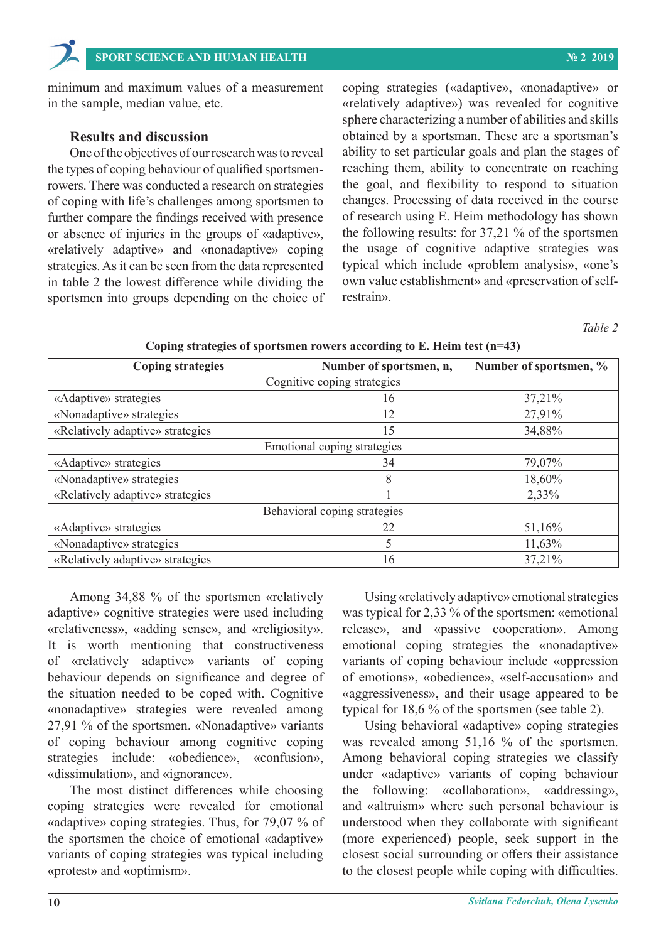minimum and maximum values of a measurement in the sample, median value, etc.

### **Results and discussion**

One of the objectives of our research was to reveal the types of coping behaviour of qualified sportsmenrowers. There was conducted a research on strategies of coping with life's challenges among sportsmen to further compare the findings received with presence or absence of injuries in the groups of «adaptive», «relatively adaptive» and «nonadaptive» coping strategies. As it can be seen from the data represented in table 2 the lowest difference while dividing the sportsmen into groups depending on the choice of coping strategies («adaptive», «nonadaptive» or «relatively adaptive») was revealed for cognitive sphere characterizing a number of abilities and skills obtained by a sportsman. These are a sportsman's ability to set particular goals and plan the stages of reaching them, ability to concentrate on reaching the goal, and flexibility to respond to situation changes. Processing of data received in the course of research using E. Heim methodology has shown the following results: for 37,21 % of the sportsmen the usage of cognitive adaptive strategies was typical which include «problem analysis», «one's own value establishment» and «preservation of selfrestrain».

*Table 2*

| <b>Coping strategies</b>         | Number of sportsmen, n, | Number of sportsmen, % |  |  |
|----------------------------------|-------------------------|------------------------|--|--|
| Cognitive coping strategies      |                         |                        |  |  |
| «Adaptive» strategies            | 16                      | 37,21%                 |  |  |
| «Nonadaptive» strategies         | 12                      | 27,91%                 |  |  |
| «Relatively adaptive» strategies | 15                      | 34,88%                 |  |  |
| Emotional coping strategies      |                         |                        |  |  |
| «Adaptive» strategies            | 34                      | 79,07%                 |  |  |
| «Nonadaptive» strategies         | 8                       | 18,60%                 |  |  |
| «Relatively adaptive» strategies |                         | 2,33%                  |  |  |
| Behavioral coping strategies     |                         |                        |  |  |
| «Adaptive» strategies            | 22                      | 51,16%                 |  |  |
| «Nonadaptive» strategies         | 5                       | 11,63%                 |  |  |
| «Relatively adaptive» strategies | 16                      | 37,21%                 |  |  |

**Coping strategies of sportsmen rowers according to E. Heim test (n=43)** 

Among 34,88 % of the sportsmen «relatively adaptive» cognitive strategies were used including «relativeness», «adding sense», and «religiosity». It is worth mentioning that constructiveness of «relatively adaptive» variants of coping behaviour depends on significance and degree of the situation needed to be coped with. Cognitive «nonadaptive» strategies were revealed among 27,91 % of the sportsmen. «Nonadaptive» variants of coping behaviour among cognitive coping strategies include: «obedience», «confusion», «dissimulation», and «ignorance».

The most distinct differences while choosing coping strategies were revealed for emotional «adaptive» coping strategies. Thus, for 79,07 % of the sportsmen the choice of emotional «adaptive» variants of coping strategies was typical including «protest» and «optimism».

Using «relatively adaptive» emotional strategies was typical for 2,33 % of the sportsmen: «emotional release», and «passive cooperation». Among emotional coping strategies the «nonadaptive» variants of coping behaviour include «oppression of emotions», «obedience», «self-accusation» and «aggressiveness», and their usage appeared to be typical for 18,6 % of the sportsmen (see table 2).

Using behavioral «adaptive» coping strategies was revealed among 51,16 % of the sportsmen. Among behavioral coping strategies we classify under «adaptive» variants of coping behaviour the following: «collaboration», «addressing», and «altruism» where such personal behaviour is understood when they collaborate with significant (more experienced) people, seek support in the closest social surrounding or offers their assistance to the closest people while coping with difficulties.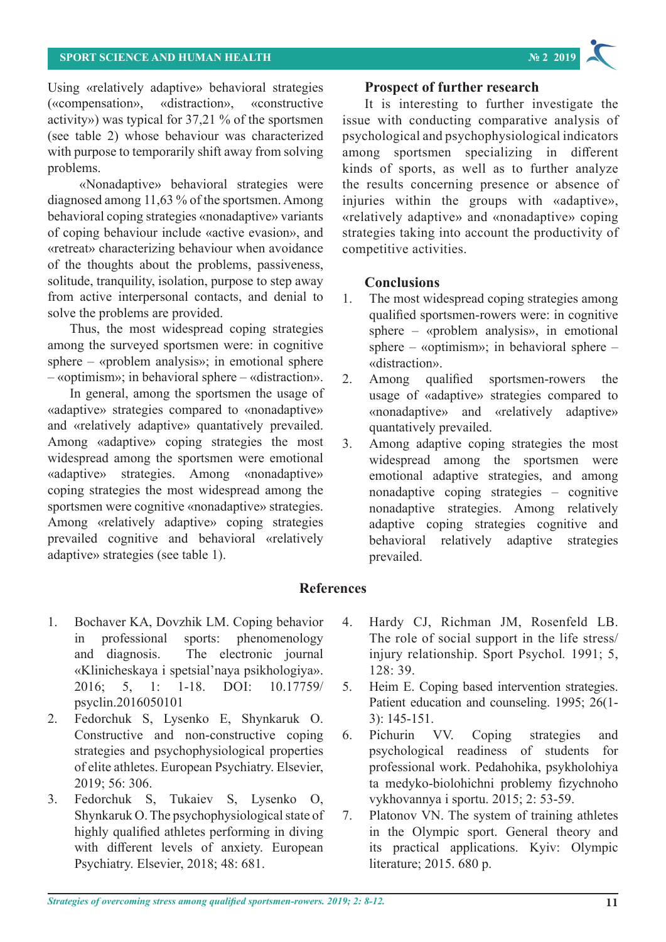Using «relatively adaptive» behavioral strategies («compensation», «distraction», «constructive activity») was typical for 37,21 % of the sportsmen (see table 2) whose behaviour was characterized with purpose to temporarily shift away from solving problems.

 «Nonadaptive» behavioral strategies were diagnosed among 11,63 % of the sportsmen. Among behavioral coping strategies «nonadaptive» variants of coping behaviour include «active evasion», and «retreat» characterizing behaviour when avoidance of the thoughts about the problems, passiveness, solitude, tranquility, isolation, purpose to step away from active interpersonal contacts, and denial to solve the problems are provided.

Thus, the most widespread coping strategies among the surveyed sportsmen were: in cognitive sphere – «problem analysis»; in emotional sphere – «optimism»; in behavioral sphere – «distraction».

In general, among the sportsmen the usage of «adaptive» strategies compared to «nonadaptive» and «relatively adaptive» quantatively prevailed. Among «adaptive» coping strategies the most widespread among the sportsmen were emotional «adaptive» strategies. Among «nonadaptive» coping strategies the most widespread among the sportsmen were cognitive «nonadaptive» strategies. Among «relatively adaptive» coping strategies prevailed cognitive and behavioral «relatively adaptive» strategies (see table 1).

### **Prospect of further research**

It is interesting to further investigate the issue with conducting comparative analysis of psychological and psychophysiological indicators among sportsmen specializing in different kinds of sports, as well as to further analyze the results concerning presence or absence of injuries within the groups with «adaptive», «relatively adaptive» and «nonadaptive» coping strategies taking into account the productivity of competitive activities.

## **Conclusions**

- 1. The most widespread coping strategies among qualified sportsmen-rowers were: in cognitive sphere – «problem analysis», in emotional sphere – «optimism»; in behavioral sphere – «distraction».
- 2. Among qualified sportsmen-rowers the usage of «adaptive» strategies compared to «nonadaptive» and «relatively adaptive» quantatively prevailed.
- 3. Among adaptive coping strategies the most widespread among the sportsmen were emotional adaptive strategies, and among nonadaptive coping strategies – cognitive nonadaptive strategies. Among relatively adaptive coping strategies cognitive and behavioral relatively adaptive strategies prevailed.

# **References**

- 1. Bochaver KA, Dovzhik LM. Coping behavior in professional sports: phenomenology and diagnosis. The electronic journal «Klinicheskaya i spetsial'naya psikhologiya». 2016; 5, 1: 1-18. DOI: 10.17759/ psyclin.2016050101
- 2. Fedorchuk S, Lysenko Е, Shynkaruk O. Constructive and non-constructive coping strategies and psychophysiological properties of elite athletes. European Psychiatry. Elsevier, 2019; 56: 306.
- 3. Fedorchuk S, Tukaiev S, Lysenko O, Shynkaruk O. The psychophysiological state of highly qualified athletes performing in diving with different levels of anxiety. European Psychiatry. Elsevier, 2018; 48: 681.
- 4. Hardy CJ, Richman JM, Rosenfeld LB. The role of social support in the life stress/ injury relationship. Sport Psychol*.* 1991; 5, 128: 39.
- 5. Heim E. Coping based intervention strategies. Patient education and counseling. 1995; 26(1- 3): 145-151.
- 6. Pichurin VV. Coping strategies and psychological readiness of students for professional work. Pedahohika, psykholohiya ta medyko-biolohichni problemy fizychnoho vykhovannya i sportu. 2015; 2: 53-59.
- 7. Platonov VN. The system of training athletes in the Olympic sport. General theory and its practical applications. Kyiv: Olympic literature; 2015. 680 p.